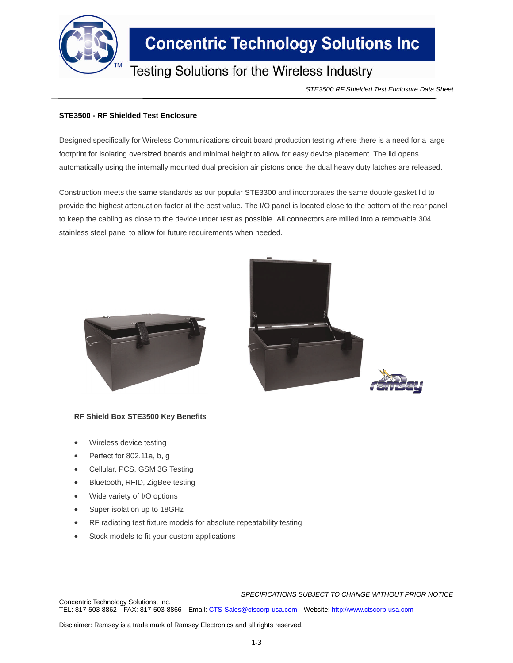

## **Concentric Technology Solutions Inc**

### Testing Solutions for the Wireless Industry

*STE3500 RF Shielded Test Enclosure Data Sheet*

### **STE3500 - RF Shielded Test Enclosure**

Designed specifically for Wireless Communications circuit board production testing where there is a need for a large footprint for isolating oversized boards and minimal height to allow for easy device placement. The lid opens automatically using the internally mounted dual precision air pistons once the dual heavy duty latches are released.

Construction meets the same standards as our popular STE3300 and incorporates the same double gasket lid to provide the highest attenuation factor at the best value. The I/O panel is located close to the bottom of the rear panel to keep the cabling as close to the device under test as possible. All connectors are milled into a removable 304 stainless steel panel to allow for future requirements when needed.





#### **RF Shield Box STE3500 Key Benefits**

- Wireless device testing
- Perfect for 802.11a, b, g
- Cellular, PCS, GSM 3G Testing
- Bluetooth, RFID, ZigBee testing
- Wide variety of I/O options
- Super isolation up to 18GHz
- RF radiating test fixture models for absolute repeatability testing
- Stock models to fit your custom applications

*SPECIFICATIONS SUBJECT TO CHANGE WITHOUT PRIOR NOTICE*

Concentric Technology Solutions, Inc. TEL: 817-503-8862 FAX: 817-503-8866 Email: CTS-Sales@ctscorp-usa.com Website: http://www.ctscorp-usa.com

Disclaimer: Ramsey is a trade mark of Ramsey Electronics and all rights reserved.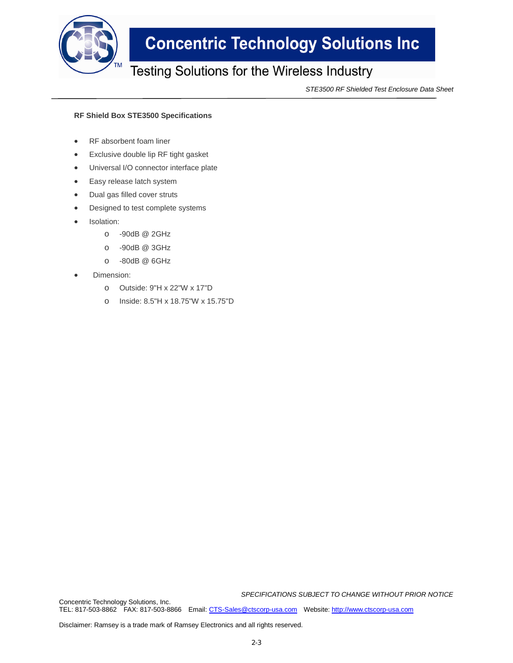

# **Concentric Technology Solutions Inc**

### Testing Solutions for the Wireless Industry

*STE3500 RF Shielded Test Enclosure Data Sheet*

#### **RF Shield Box STE3500 Specifications**

- RF absorbent foam liner
- Exclusive double lip RF tight gasket
- Universal I/O connector interface plate
- Easy release latch system
- Dual gas filled cover struts
- Designed to test complete systems
- Isolation:
	- o -90dB @ 2GHz
	- o -90dB @ 3GHz
	- o -80dB @ 6GHz
- Dimension:
	- o Outside: 9"H x 22"W x 17"D
	- o Inside: 8.5"H x 18.75"W x 15.75"D

*SPECIFICATIONS SUBJECT TO CHANGE WITHOUT PRIOR NOTICE*

TEL: 817-503-8862 FAX: 817-503-8866 Email: CTS-Sales@ctscorp-usa.com Website: http://www.ctscorp-usa.com

Disclaimer: Ramsey is a trade mark of Ramsey Electronics and all rights reserved.

Concentric Technology Solutions, Inc.